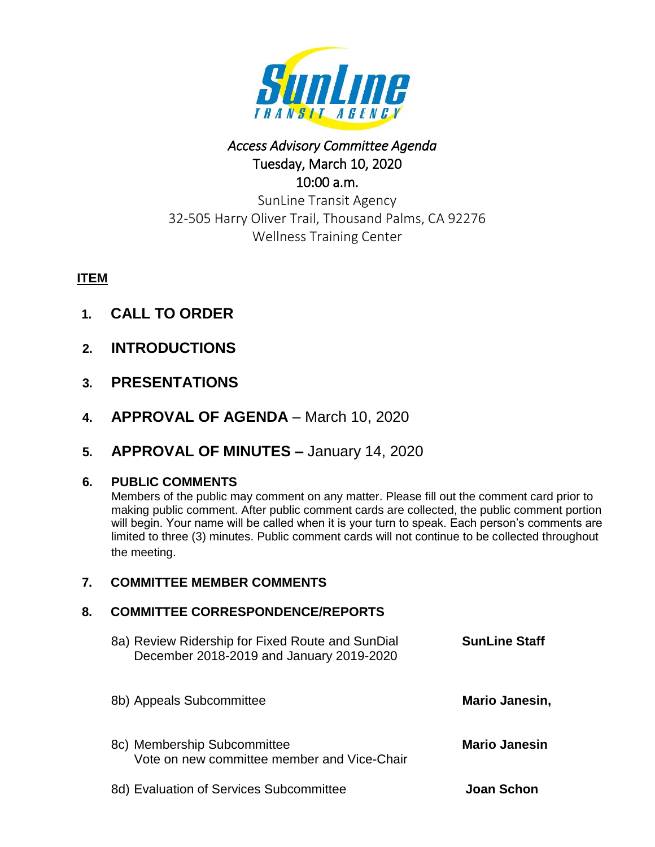

# *Access Advisory Committee Agenda*  Tuesday, March 10, 2020 10:00 a.m.

SunLine Transit Agency 32-505 Harry Oliver Trail, Thousand Palms, CA 92276 Wellness Training Center

# **ITEM**

- **1. CALL TO ORDER**
- **2. INTRODUCTIONS**
- **3. PRESENTATIONS**
- **4. APPROVAL OF AGENDA** March 10, 2020
- **5. APPROVAL OF MINUTES –** January 14, 2020

## **6. PUBLIC COMMENTS**

Members of the public may comment on any matter. Please fill out the comment card prior to making public comment. After public comment cards are collected, the public comment portion will begin. Your name will be called when it is your turn to speak. Each person's comments are limited to three (3) minutes. Public comment cards will not continue to be collected throughout the meeting.

## **7. COMMITTEE MEMBER COMMENTS**

## **8. COMMITTEE CORRESPONDENCE/REPORTS**

| 8a) Review Ridership for Fixed Route and SunDial<br>December 2018-2019 and January 2019-2020 | <b>SunLine Staff</b> |
|----------------------------------------------------------------------------------------------|----------------------|
| 8b) Appeals Subcommittee                                                                     | Mario Janesin,       |
| 8c) Membership Subcommittee<br>Vote on new committee member and Vice-Chair                   | <b>Mario Janesin</b> |
| 8d) Evaluation of Services Subcommittee                                                      | Joan Schon           |